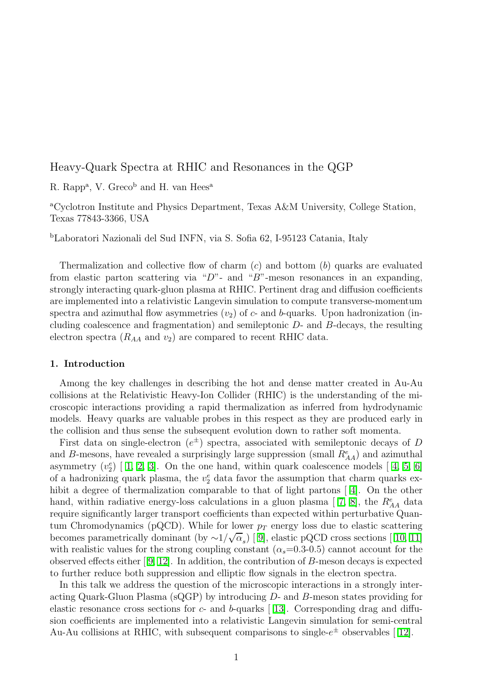# Heavy-Quark Spectra at RHIC and Resonances in the QGP

R. Rapp<sup>a</sup>, V. Greco<sup>b</sup> and H. van Hees<sup>a</sup>

<sup>a</sup>Cyclotron Institute and Physics Department, Texas A&M University, College Station, Texas 77843-3366, USA

<sup>b</sup>Laboratori Nazionali del Sud INFN, via S. Sofia 62, I-95123 Catania, Italy

Thermalization and collective flow of charm  $(c)$  and bottom  $(b)$  quarks are evaluated from elastic parton scattering via "D"- and "B"-meson resonances in an expanding, strongly interacting quark-gluon plasma at RHIC. Pertinent drag and diffusion coefficients are implemented into a relativistic Langevin simulation to compute transverse-momentum spectra and azimuthal flow asymmetries  $(v_2)$  of c- and b-quarks. Upon hadronization (including coalescence and fragmentation) and semileptonic D- and B-decays, the resulting electron spectra  $(R_{AA}$  and  $v_2)$  are compared to recent RHIC data.

#### 1. Introduction

Among the key challenges in describing the hot and dense matter created in Au-Au collisions at the Relativistic Heavy-Ion Collider (RHIC) is the understanding of the microscopic interactions providing a rapid thermalization as inferred from hydrodynamic models. Heavy quarks are valuable probes in this respect as they are produced early in the collision and thus sense the subsequent evolution down to rather soft momenta.

First data on single-electron  $(e^{\pm})$  spectra, associated with semileptonic decays of D and B-mesons, have revealed a surprisingly large suppression (small  $R_{AA}^e$ ) and azimuthal asymmetry $(v_2^e)$  [ [1,](#page-3-0) [2,](#page-3-1) [3\]](#page-3-2). On the one hand, within quark coalescence models [ [4,](#page-3-3) [5,](#page-3-4) [6\]](#page-3-5) of a hadronizing quark plasma, the  $v_2^e$  data favor the assumption that charm quarks exhibita degree of thermalization comparable to that of light partons [4]. On the other hand,within radiative energy-loss calculations in a gluon plasma [7, [8\]](#page-3-7), the  $R_{AA}^e$  data require significantly larger transport coefficients than expected within perturbative Quantum Chromodynamics (pQCD). While for lower  $p_T$  energy loss due to elastic scattering becomesparametrically dominant (by  $\sim 1/\sqrt{\alpha_s}$ ) [9], elastic pQCD cross sections [10, [11\]](#page-3-10) with realistic values for the strong coupling constant  $(\alpha_s=0.3-0.5)$  cannot account for the observed effects either[ [9,](#page-3-8) [12\]](#page-3-11). In addition, the contribution of B-meson decays is expected to further reduce both suppression and elliptic flow signals in the electron spectra.

In this talk we address the question of the microscopic interactions in a strongly interacting Quark-Gluon Plasma (sQGP) by introducing D- and B-meson states providing for elasticresonance cross sections for  $c$ - and  $b$ -quarks [13]. Corresponding drag and diffusion coefficients are implemented into a relativistic Langevin simulation for semi-central Au-Aucollisions at RHIC, with subsequent comparisons to single- $e^{\pm}$  observables [12].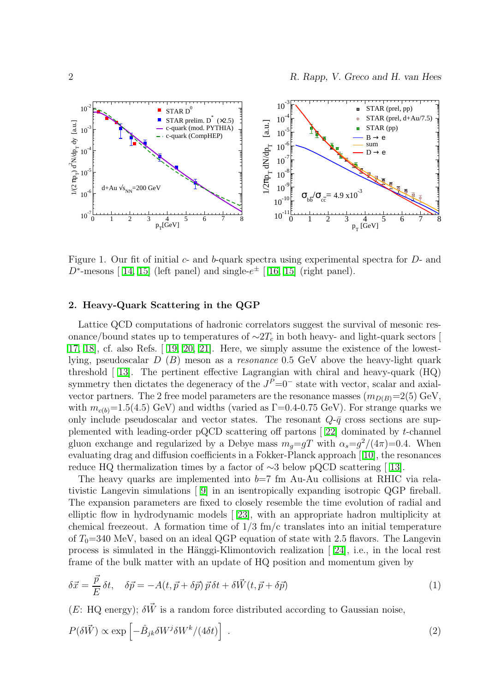

<span id="page-1-0"></span>Figure 1. Our fit of initial  $c$ - and  $b$ -quark spectra using experimental spectra for  $D$ - and  $D^*$ -mesons[ [14,](#page-3-13) [15\]](#page-3-14) (left panel) and single- $e^{\pm}$  [ [16,](#page-3-15) 15] (right panel).

## 2. Heavy-Quark Scattering in the QGP

Lattice QCD computations of hadronic correlators suggest the survival of mesonic resonance/bound states up to temperatures of  $\sim$ 2T<sub>c</sub> in both heavy- and light-quark sectors [ [17,](#page-3-16) [18\]](#page-3-17), cf. also Refs.[ [19,](#page-3-18) [20,](#page-3-19) [21\]](#page-3-20). Here, we simply assume the existence of the lowestlying, pseudoscalar  $D(B)$  meson as a resonance 0.5 GeV above the heavy-light quark threshold[ [13\]](#page-3-12). The pertinent effective Lagrangian with chiral and heavy-quark (HQ) symmetry then dictates the degeneracy of the  $J^P=0^-$  state with vector, scalar and axialvector partners. The 2 free model parameters are the resonance masses  $(m_{D(B)}=2(5)$  GeV, with  $m_{c(b)}=1.5(4.5)$  GeV) and widths (varied as  $\Gamma=0.4-0.75$  GeV). For strange quarks we only include pseudoscalar and vector states. The resonant  $Q-\bar{q}$  cross sections are supplemented with leading-order pQCD scattering off partons[ [22\]](#page-3-21) dominated by t-channel gluon exchange and regularized by a Debye mass  $m_g = gT$  with  $\alpha_s = g^2/(4\pi) = 0.4$ . When evaluating drag and diffusion coefficients in a Fokker-Planck approach[ [10\]](#page-3-9), the resonances reduceHQ thermalization times by a factor of  $\sim$ 3 below pQCD scattering [ [13\]](#page-3-12).

The heavy quarks are implemented into  $b=7$  fm Au-Au collisions at RHIC via relativistic Langevin simulations [ [9\]](#page-3-8) in an isentropically expanding isotropic QGP fireball. The expansion parameters are fixed to closely resemble the time evolution of radial and elliptic flow in hydrodynamic models[ [23\]](#page-3-22), with an appropriate hadron multiplicity at chemical freezeout. A formation time of  $1/3$  fm/c translates into an initial temperature of  $T_0$ =340 MeV, based on an ideal QGP equation of state with 2.5 flavors. The Langevin processis simulated in the Hänggi-Klimontovich realization  $[24]$ , i.e., in the local rest frame of the bulk matter with an update of HQ position and momentum given by

$$
\delta \vec{x} = \frac{\vec{p}}{E} \delta t, \quad \delta \vec{p} = -A(t, \vec{p} + \delta \vec{p}) \vec{p} \delta t + \delta \vec{W}(t, \vec{p} + \delta \vec{p}) \tag{1}
$$

(E: HQ energy);  $\delta \vec{W}$  is a random force distributed according to Gaussian noise,

$$
P(\delta \vec{W}) \propto \exp\left[-\hat{B}_{jk}\delta W^j \delta W^k / (4\delta t)\right] \tag{2}
$$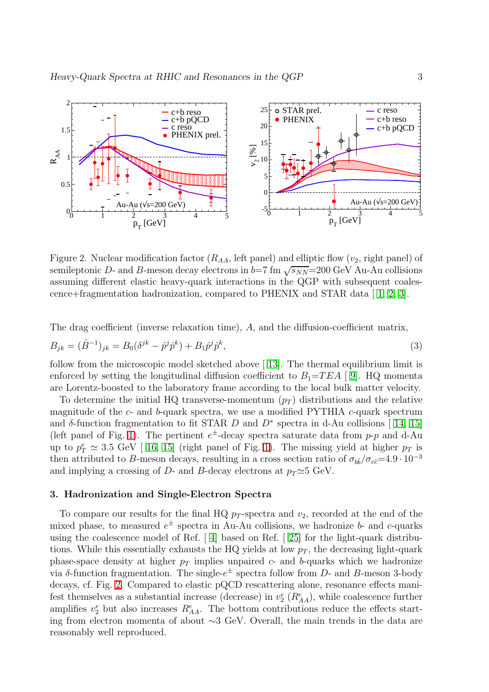

<span id="page-2-0"></span>Figure 2. Nuclear modification factor  $(R_{AA}$ , left panel) and elliptic flow  $(v_2,$  right panel) of semileptonic D- and B-meson decay electrons in  $b=7$  fm  $\sqrt{s_{NN}}=200$  GeV Au-Au collisions assuming different elastic heavy-quark interactions in the QGP with subsequent coalescence+fragmentation hadronization, compared to PHENIX and STAR data[ [1,](#page-3-0) [2,](#page-3-1) [3\]](#page-3-2).

The drag coefficient (inverse relaxation time), A, and the diffusion-coefficient matrix,

$$
B_{jk} = (\hat{B}^{-1})_{jk} = B_0(\delta^{jk} - \hat{p}^j \hat{p}^k) + B_1 \hat{p}^j \hat{p}^k,
$$
\n(3)

follow from the microscopic model sketched above[ [13\]](#page-3-12). The thermal equilibrium limit is enforced by setting the longitudinal diffusion coefficient to  $B_1=TEA$  [9]. HQ momenta are Lorentz-boosted to the laboratory frame according to the local bulk matter velocity.

To determine the initial HQ transverse-momentum  $(p_T)$  distributions and the relative magnitude of the  $c$ - and  $b$ -quark spectra, we use a modified PYTHIA  $c$ -quark spectrum and $\delta$ -function fragmentation to fit STAR D and D<sup>\*</sup> spectra in d-Au collisions [14, [15\]](#page-3-14) (left panel of Fig. [1\)](#page-1-0). The pertinent  $e^{\pm}$ -decay spectra saturate data from p-p and d-Au upto  $p_T^e \simeq 3.5 \text{ GeV}$  [16, [15\]](#page-3-14) (right panel of Fig. [1\)](#page-1-0). The missing yield at higher  $p_T$  is then attributed to B-meson decays, resulting in a cross section ratio of  $\sigma_{b\bar{b}}/\sigma_{c\bar{c}}=4.9\cdot 10^{-3}$ and implying a crossing of D- and B-decay electrons at  $p_T \simeq 5$  GeV.

#### 3. Hadronization and Single-Electron Spectra

To compare our results for the final HQ  $p_T$ -spectra and  $v_2$ , recorded at the end of the mixed phase, to measured  $e^{\pm}$  spectra in Au-Au collisions, we hadronize b- and c-quarks using the coalescence model of Ref.[ [4\]](#page-3-3) based on Ref.[ [25\]](#page-3-24) for the light-quark distributions. While this essentially exhausts the HQ yields at low  $p<sub>T</sub>$ , the decreasing light-quark phase-space density at higher  $p_T$  implies unpaired c- and b-quarks which we hadronize via δ-function fragmentation. The single- $e^{\pm}$  spectra follow from D- and B-meson 3-body decays, cf. Fig. [2.](#page-2-0) Compared to elastic pQCD rescattering alone, resonance effects manifest themselves as a substantial increase (decrease) in  $v_2^e$  ( $R_{AA}^e$ ), while coalescence further amplifies  $v_2^e$  but also increases  $R_{AA}^e$ . The bottom contributions reduce the effects starting from electron momenta of about ∼3 GeV. Overall, the main trends in the data are reasonably well reproduced.